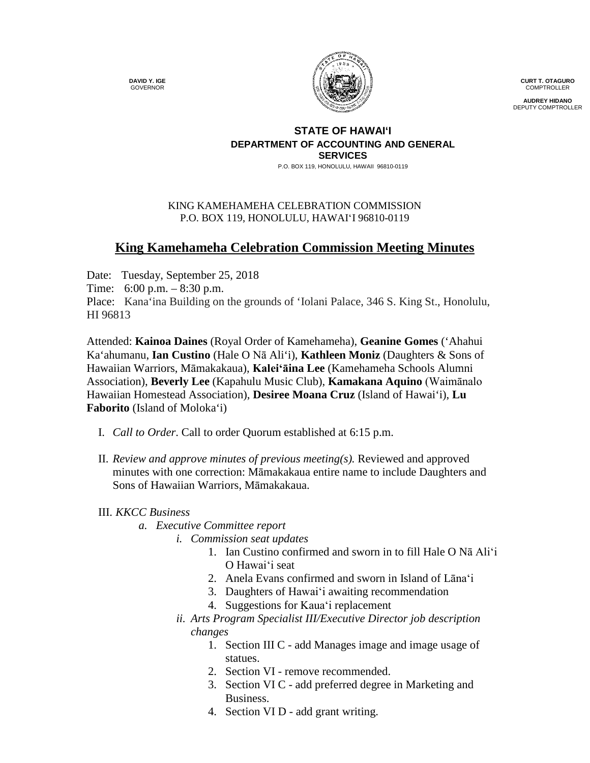**DAVID Y. IGE** GOVERNOR



**CURT T. OTAGURO** COMPTROLLER

**AUDREY HIDANO** DEPUTY COMPTROLLER

## **STATE OF HAWAI'I DEPARTMENT OF ACCOUNTING AND GENERAL SERVICES**

P.O. BOX 119, HONOLULU, HAWAII 96810-0119

## KING KAMEHAMEHA CELEBRATION COMMISSION P.O. BOX 119, HONOLULU, HAWAIʻI 96810-0119

## **King Kamehameha Celebration Commission Meeting Minutes**

Date: Tuesday, September 25, 2018

Time: 6:00 p.m. – 8:30 p.m.

Place: Kana'ina Building on the grounds of 'Iolani Palace, 346 S. King St., Honolulu, HI 96813

Attended: **Kainoa Daines** (Royal Order of Kamehameha), **Geanine Gomes** ('Ahahui Ka'ahumanu, **Ian Custino** (Hale O Nā Ali'i), **Kathleen Moniz** (Daughters & Sons of Hawaiian Warriors, Māmakakaua), **Kaleiʻāina Lee** (Kamehameha Schools Alumni Association), **Beverly Lee** (Kapahulu Music Club), **Kamakana Aquino** (Waimānalo Hawaiian Homestead Association), **Desiree Moana Cruz** (Island of Hawai'i), **Lu Faborito** (Island of Moloka'i)

- I. *Call to Order*. Call to order Quorum established at 6:15 p.m.
- II. *Review and approve minutes of previous meeting(s).* Reviewed and approved minutes with one correction: Māmakakaua entire name to include Daughters and Sons of Hawaiian Warriors, Māmakakaua.

## III. *KKCC Business*

- *a. Executive Committee report*
	- *i. Commission seat updates*
		- 1. Ian Custino confirmed and sworn in to fill Hale O Nā Aliʻi O Hawaiʻi seat
		- 2. Anela Evans confirmed and sworn in Island of Lānaʻi
		- 3. Daughters of Hawaiʻi awaiting recommendation
		- 4. Suggestions for Kauaʻi replacement
		- *ii. Arts Program Specialist III/Executive Director job description changes*
			- 1. Section III C add Manages image and image usage of statues.
			- 2. Section VI remove recommended.
			- 3. Section VI C add preferred degree in Marketing and Business.
			- 4. Section VI D add grant writing.